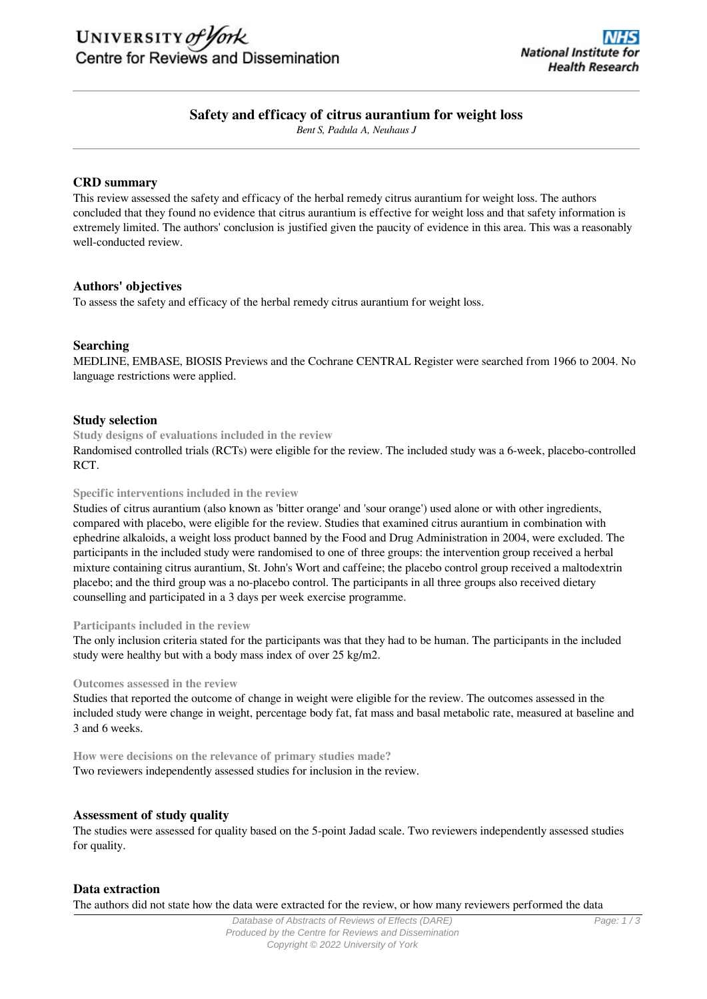

# **Safety and efficacy of citrus aurantium for weight loss**

*Bent S, Padula A, Neuhaus J*

#### **CRD summary**

This review assessed the safety and efficacy of the herbal remedy citrus aurantium for weight loss. The authors concluded that they found no evidence that citrus aurantium is effective for weight loss and that safety information is extremely limited. The authors' conclusion is justified given the paucity of evidence in this area. This was a reasonably well-conducted review.

### **Authors' objectives**

To assess the safety and efficacy of the herbal remedy citrus aurantium for weight loss.

### **Searching**

MEDLINE, EMBASE, BIOSIS Previews and the Cochrane CENTRAL Register were searched from 1966 to 2004. No language restrictions were applied.

#### **Study selection**

**Study designs of evaluations included in the review**

Randomised controlled trials (RCTs) were eligible for the review. The included study was a 6-week, placebo-controlled RCT.

#### **Specific interventions included in the review**

Studies of citrus aurantium (also known as 'bitter orange' and 'sour orange') used alone or with other ingredients, compared with placebo, were eligible for the review. Studies that examined citrus aurantium in combination with ephedrine alkaloids, a weight loss product banned by the Food and Drug Administration in 2004, were excluded. The participants in the included study were randomised to one of three groups: the intervention group received a herbal mixture containing citrus aurantium, St. John's Wort and caffeine; the placebo control group received a maltodextrin placebo; and the third group was a no-placebo control. The participants in all three groups also received dietary counselling and participated in a 3 days per week exercise programme.

#### **Participants included in the review**

The only inclusion criteria stated for the participants was that they had to be human. The participants in the included study were healthy but with a body mass index of over 25 kg/m2.

#### **Outcomes assessed in the review**

Studies that reported the outcome of change in weight were eligible for the review. The outcomes assessed in the included study were change in weight, percentage body fat, fat mass and basal metabolic rate, measured at baseline and 3 and 6 weeks.

**How were decisions on the relevance of primary studies made?** Two reviewers independently assessed studies for inclusion in the review.

#### **Assessment of study quality**

The studies were assessed for quality based on the 5-point Jadad scale. Two reviewers independently assessed studies for quality.

#### **Data extraction**

The authors did not state how the data were extracted for the review, or how many reviewers performed the data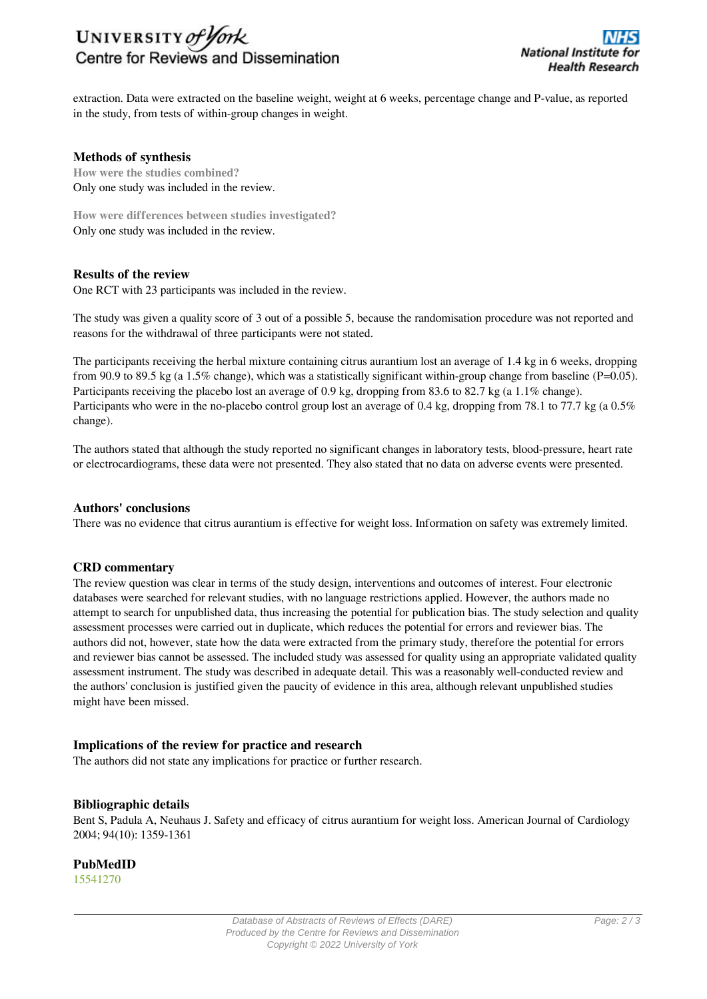# UNIVERSITY of York Centre for Reviews and Dissemination

extraction. Data were extracted on the baseline weight, weight at 6 weeks, percentage change and P-value, as reported in the study, from tests of within-group changes in weight.

## **Methods of synthesis**

**How were the studies combined?** Only one study was included in the review.

**How were differences between studies investigated?** Only one study was included in the review.

## **Results of the review**

One RCT with 23 participants was included in the review.

The study was given a quality score of 3 out of a possible 5, because the randomisation procedure was not reported and reasons for the withdrawal of three participants were not stated.

The participants receiving the herbal mixture containing citrus aurantium lost an average of 1.4 kg in 6 weeks, dropping from 90.9 to 89.5 kg (a 1.5% change), which was a statistically significant within-group change from baseline (P=0.05). Participants receiving the placebo lost an average of 0.9 kg, dropping from 83.6 to 82.7 kg (a 1.1% change). Participants who were in the no-placebo control group lost an average of 0.4 kg, dropping from 78.1 to 77.7 kg (a 0.5%) change).

The authors stated that although the study reported no significant changes in laboratory tests, blood-pressure, heart rate or electrocardiograms, these data were not presented. They also stated that no data on adverse events were presented.

## **Authors' conclusions**

There was no evidence that citrus aurantium is effective for weight loss. Information on safety was extremely limited.

## **CRD commentary**

The review question was clear in terms of the study design, interventions and outcomes of interest. Four electronic databases were searched for relevant studies, with no language restrictions applied. However, the authors made no attempt to search for unpublished data, thus increasing the potential for publication bias. The study selection and quality assessment processes were carried out in duplicate, which reduces the potential for errors and reviewer bias. The authors did not, however, state how the data were extracted from the primary study, therefore the potential for errors and reviewer bias cannot be assessed. The included study was assessed for quality using an appropriate validated quality assessment instrument. The study was described in adequate detail. This was a reasonably well-conducted review and the authors' conclusion is justified given the paucity of evidence in this area, although relevant unpublished studies might have been missed.

## **Implications of the review for practice and research**

The authors did not state any implications for practice or further research.

#### **Bibliographic details**

Bent S, Padula A, Neuhaus J. Safety and efficacy of citrus aurantium for weight loss. American Journal of Cardiology 2004; 94(10): 1359-1361

## **PubMedID**

[15541270](http://www.ncbi.nlm.nih.gov/pubmed?term=15541270)